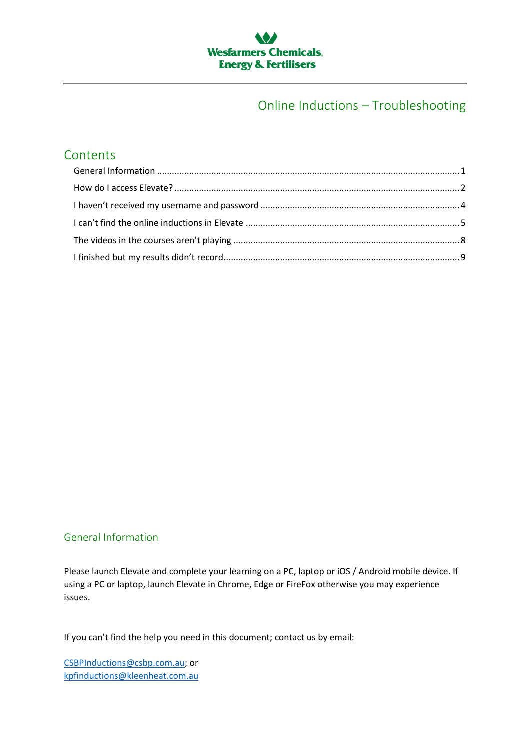

### Online Inductions – Troubleshooting

### **Contents**

### <span id="page-0-0"></span>General Information

Please launch Elevate and complete your learning on a PC, laptop or iOS / Android mobile device. If using a PC or laptop, launch Elevate in Chrome, Edge or FireFox otherwise you may experience issues.

If you can't find the help you need in this document; contact us by email:

[CSBPInductions@csbp.com.au;](mailto:CSBPInductions@csbp.com.au) or [kpfinductions@kleenheat.com.au](mailto:kpfinductions@kleenheat.com.au)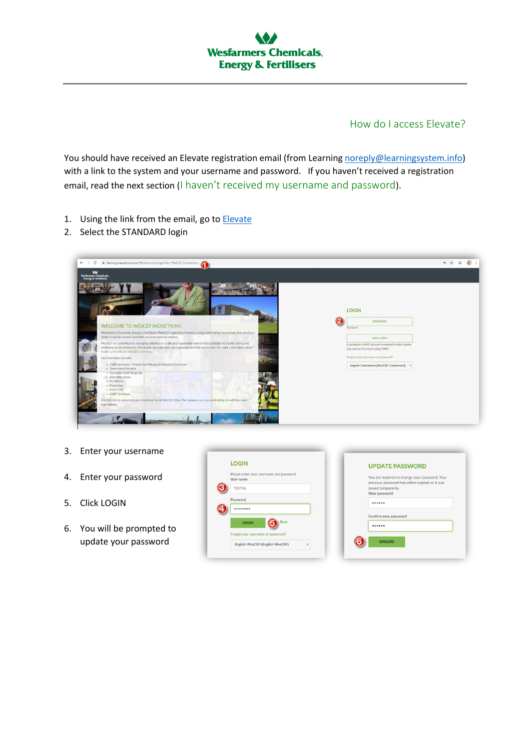

### How do I access Elevate?

<span id="page-1-0"></span>You should have received an Elevate registration email (from Learnin[g noreply@learningsystem.info\)](mailto:noreply@learningsystem.info) with a link to the system and your username and password. If you haven't received a registration email, read the next section (I haven't received my username and password).

- 1. Using the link from the email, go to **Elevate**
- 2. Select the STANDARD login

| $\boldsymbol{\omega}$<br><b>Wesfarmers Chemicals</b> ,<br><b>Lnergy &amp; Fertilisers</b>                                                                                                                                                                                         |                                                                                             |
|-----------------------------------------------------------------------------------------------------------------------------------------------------------------------------------------------------------------------------------------------------------------------------------|---------------------------------------------------------------------------------------------|
| <b>WELCOME TO WESCEF INDUCTIONS</b>                                                                                                                                                                                                                                               | <b>LOGIN</b><br><b>STANDARD</b><br>Standard                                                 |
| Wesfarmers Chemicals, Energy & Fertilisers (WesCEF) operates chemical, energy and fertiliser businesses that service a<br>range of sectors in both domestic and international markets.                                                                                            | SAML LOGIN                                                                                  |
| WesCEF are committed to managing activities in a safe and responsible manner that protects the health, safety and<br>wellbeing of our employees, the people we work with, our customers and the community. For more information about<br>health and safety at WesCEF, click here. | If you have a SAML account connected to this system<br>you can use it to log in using SAML. |
| Our businesses include:<br>- CSBP Ammonia / Ammonium Nitrate & Industrial Chemicals<br>· Queensland Nitrates<br>· Australian Gold Reagents<br>· Australian Vinyls                                                                                                                 | Forgot your username or password?<br>English Contractors (WesCEF Contractors) +             |
| · ModWood<br>- Kleenheat<br>· EVOL LNG<br>· CSBP Fertilisers                                                                                                                                                                                                                      |                                                                                             |
| Use this site to complete your inductions for all WesCEF Sites. The company you are contracting for will have your<br>login details.                                                                                                                                              |                                                                                             |

- 3. Enter your username
- 4. Enter your password
- 5. Click LOGIN
- 6. You will be prompted to update your password

| <b>LOGIN</b>                                         | <b>UPDATE PASSWORD</b>                                                                           |
|------------------------------------------------------|--------------------------------------------------------------------------------------------------|
| Please enter your username and password<br>User name | You are required to change your password. Your<br>previous password has either expired or it was |
| <b>TESTVe</b>                                        | issued temporarily.                                                                              |
| Password                                             | New password<br>                                                                                 |
|                                                      |                                                                                                  |
| <b>Back</b><br><b>LOGIN</b>                          | Confirm new password<br>                                                                         |
| Forgot your username or password?                    |                                                                                                  |
| English WesCEF (English WesCEF)                      | <b>UPDATE</b>                                                                                    |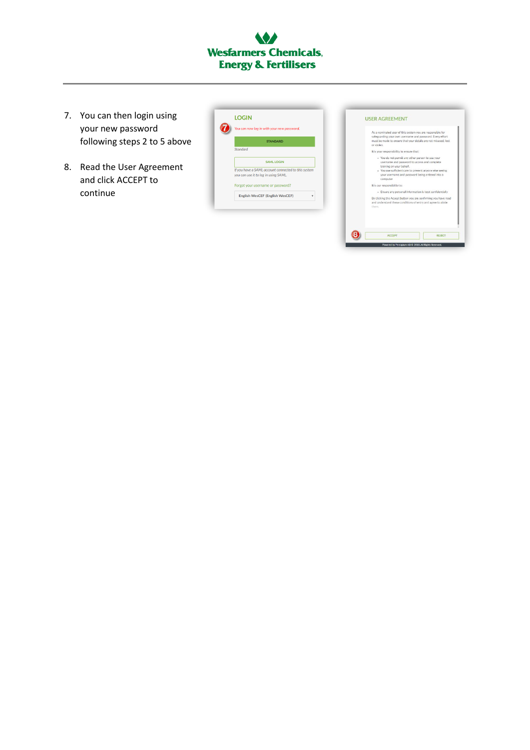# **Wesfarmers Chemicals, Energy & Fertilisers**

- 7. You can then login using your new password following steps 2 to 5 above
- 8. Read the User Agreement and click ACCEPT to continue

| You can now log in with your new password.                                                  |
|---------------------------------------------------------------------------------------------|
| <b>STANDARD</b>                                                                             |
| Standard                                                                                    |
| <b>SAMLLOGIN</b>                                                                            |
| If you have a SAML account connected to this system<br>you can use it to log in using SAML. |
|                                                                                             |
| Forgot your username or password?                                                           |
| <b>English WesCEF (English WesCEF)</b>                                                      |

| or stolen. | As a nominated user of this system you are responsible for<br>safeguarding your own username and password. Every effort<br>must be made to ensure that your details are not misused, lost                                                              |               |
|------------|--------------------------------------------------------------------------------------------------------------------------------------------------------------------------------------------------------------------------------------------------------|---------------|
|            | It is your responsibility to ensure that:                                                                                                                                                                                                              |               |
|            | - You do not permit any other person to use your<br>username and password to access and complete<br>training on your behalf.<br>. You use sufficient care to prevent anyone else seeing<br>your username and password being entered into a<br>computer |               |
|            | It is our responsibility to:                                                                                                                                                                                                                           |               |
|            | · Ensure any personal information is kept confidentially                                                                                                                                                                                               |               |
| them.      | By clicking the Accept button you are confirming you have read<br>and understand these conditions of entry and agree to abide.                                                                                                                         |               |
|            | <b>ACCEPT</b>                                                                                                                                                                                                                                          | <b>REJECT</b> |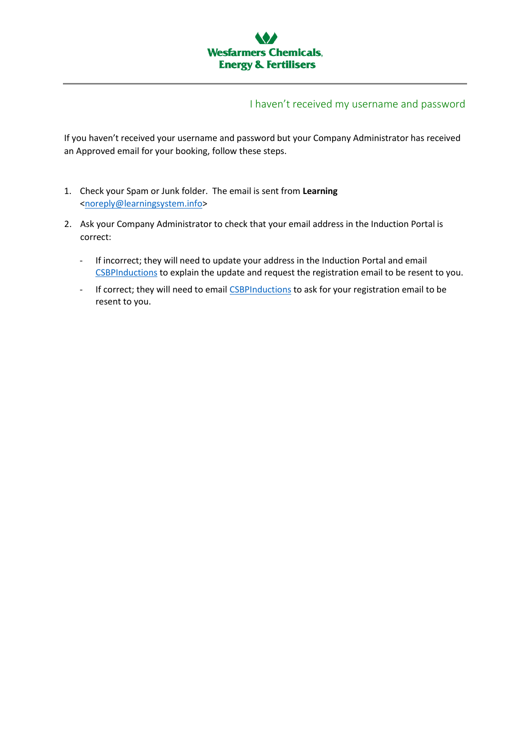

### I haven't received my username and password

<span id="page-3-0"></span>If you haven't received your username and password but your Company Administrator has received an Approved email for your booking, follow these steps.

- 1. Check your Spam or Junk folder. The email is sent from **Learning** [<noreply@learningsystem.info>](mailto:noreply@learningsystem.info)
- 2. Ask your Company Administrator to check that your email address in the Induction Portal is correct:
	- If incorrect; they will need to update your address in the Induction Portal and email [CSBPInductions](mailto:CSBP%20Inductions?subject=Updated%20email%20in%20IMS) to explain the update and request the registration email to be resent to you.
	- If correct; they will need to email [CSBPInductions](mailto:CSBP%20Inductions?subject=Updated%20email%20in%20IMS) to ask for your registration email to be resent to you.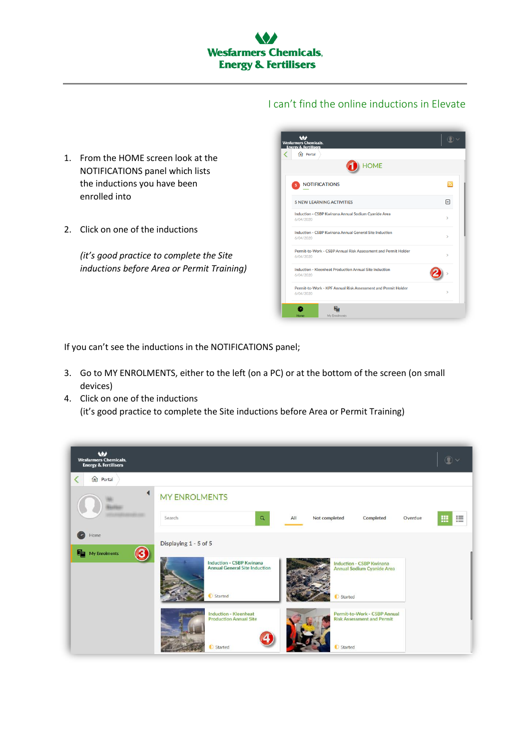I can't find the online inductions in Elevate

- <span id="page-4-0"></span>1. From the HOME screen look at the NOTIFICATIONS panel which lists the inductions you have been enrolled into
- 2. Click on one of the inductions

*(it's good practice to complete the Site inductions before Area or Permit Training)*

| $\bigcap$ Portal                                                            |               |
|-----------------------------------------------------------------------------|---------------|
| <b>HOME</b>                                                                 |               |
| <b>NOTIFICATIONS</b><br>5                                                   | ы             |
| <b>5 NEW LEARNING ACTIVITIES</b>                                            | 闩             |
| Induction - CSBP Kwinana Annual Sodium Cyanide Area<br>6/04/2020            | $\mathbf{r}$  |
| Induction - CSBP Kwinana Annual General Site Induction<br>6/04/2020         | $\mathbf{r}$  |
| Permit-to-Work - CSBP Annual Risk Assessment and Permit Holder<br>6/04/2020 | $\mathbf{r}$  |
| Induction - Kleenheat Production Annual Site Induction<br>6/04/2020         |               |
| Permit-to-Work - KPF Annual Risk Assessment and Permit Holder<br>6/04/2020  | $\rightarrow$ |

If you can't see the inductions in the NOTIFICATIONS panel;

- 3. Go to MY ENROLMENTS, either to the left (on a PC) or at the bottom of the screen (on small devices)
- 4. Click on one of the inductions (it's good practice to complete the Site inductions before Area or Permit Training)

| $\bullet$<br><b>Wesfarmers Chemicals,</b><br><b>Energy &amp; Fertilisers</b> |                                                                                                                                                                                         | QV     |
|------------------------------------------------------------------------------|-----------------------------------------------------------------------------------------------------------------------------------------------------------------------------------------|--------|
| ∢<br><b>n</b> Portal                                                         |                                                                                                                                                                                         |        |
|                                                                              | <b>MY ENROLMENTS</b><br>Search<br>$\mathsf Q$<br>All<br>Not completed<br>Completed<br>Overdue                                                                                           | 疆<br>團 |
| Q<br>Home<br>8<br>My Enrolments                                              | Displaying 1 - 5 of 5<br>Induction - CSBP Kwinana<br><b>Induction - CSBP Kwinana</b><br><b>Annual General Site Induction</b><br><b>Annual Sodium Cyanide Area</b><br>Started<br>Started |        |
|                                                                              | <b>Induction - Kleenheat</b><br>Permit-to-Work - CSBP Annual<br><b>Production Annual Site</b><br><b>Risk Assessment and Permit</b><br><b>O</b> Started<br>Started                       |        |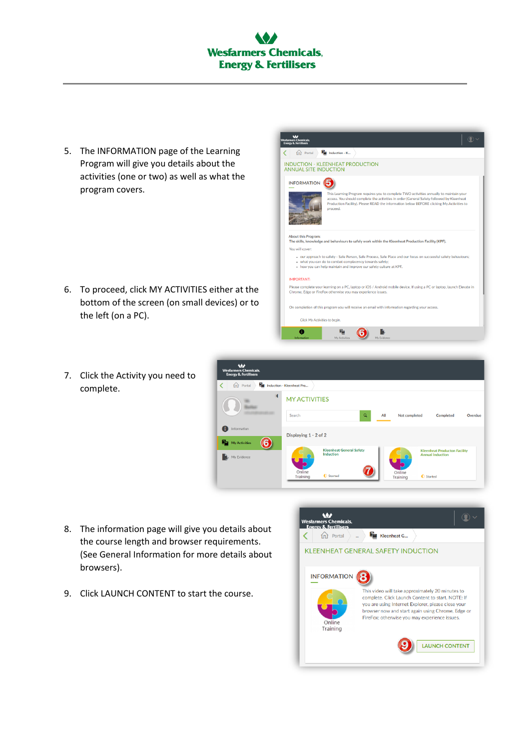## **Wesfarmers Chemicals, Energy & Fertilisers**

5. The INFORMATION page of the Learning Program will give you details about the activities (one or two) as well as what the program covers.

6. To proceed, click MY ACTIVITIES either at the bottom of the screen (on small devices) or to the left (on a PC).







- 8. The information page will give you details about the course length and browser requirements. (See General Information for more details about browsers).
- 9. Click LAUNCH CONTENT to start the course.

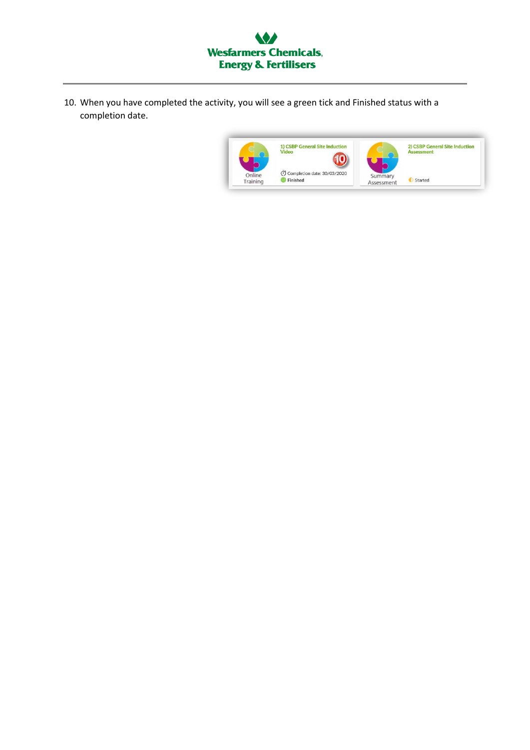

10. When you have completed the activity, you will see a green tick and Finished status with a completion date.

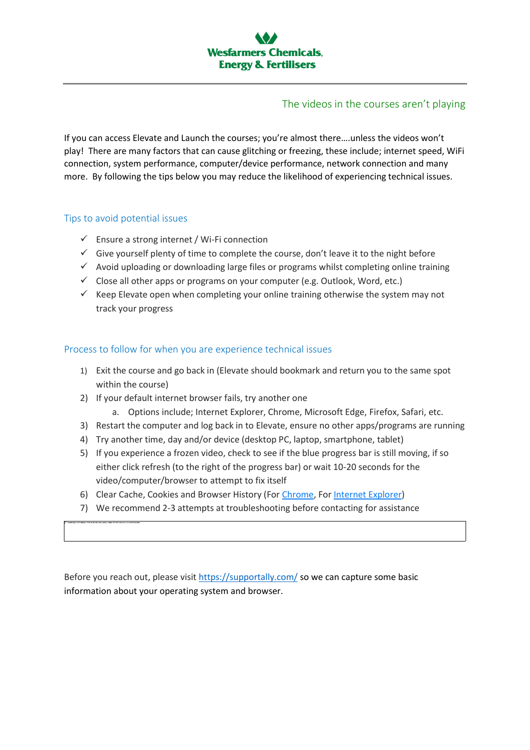### The videos in the courses aren't playing

<span id="page-7-0"></span>If you can access Elevate and Launch the courses; you're almost there….unless the videos won't play! There are many factors that can cause glitching or freezing, these include; internet speed, WiFi connection, system performance, computer/device performance, network connection and many more. By following the tips below you may reduce the likelihood of experiencing technical issues.

#### Tips to avoid potential issues

- $\checkmark$  Ensure a strong internet / Wi-Fi connection
- $\checkmark$  Give yourself plenty of time to complete the course, don't leave it to the night before
- $\checkmark$  Avoid uploading or downloading large files or programs whilst completing online training
- $\checkmark$  Close all other apps or programs on your computer (e.g. Outlook, Word, etc.)
- $\checkmark$  Keep Elevate open when completing your online training otherwise the system may not track your progress

#### Process to follow for when you are experience technical issues

- 1) Exit the course and go back in (Elevate should bookmark and return you to the same spot within the course)
- 2) If your default internet browser fails, try another one
	- a. Options include; Internet Explorer, Chrome, Microsoft Edge, Firefox, Safari, etc.
- 3) Restart the computer and log back in to Elevate, ensure no other apps/programs are running
- 4) Try another time, day and/or device (desktop PC, laptop, smartphone, tablet)
- 5) If you experience a frozen video, check to see if the blue progress bar is still moving, if so either click refresh (to the right of the progress bar) or wait 10-20 seconds for the video/computer/browser to attempt to fix itself
- 6) Clear Cache, Cookies and Browser History (For [Chrome,](https://support.google.com/accounts/answer/32050?co=GENIE.Platform%3DDesktop&hl=en) For [Internet Explorer\)](https://support.microsoft.com/en-au/help/17442/windows-internet-explorer-delete-manage-cookies)
- 7) We recommend 2-3 attempts at troubleshooting before contacting for assistance

Before you reach out, please visit<https://supportally.com/> so we can capture some basic information about your operating system and browser.